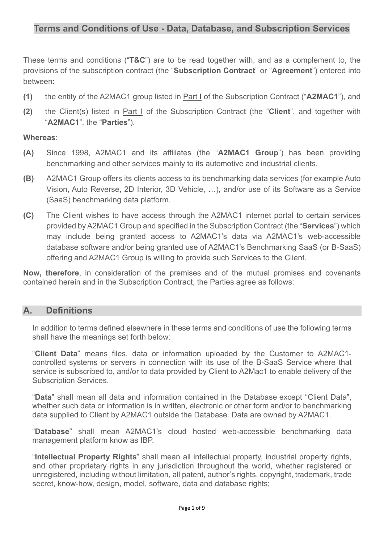These terms and conditions ("**T&C**") are to be read together with, and as a complement to, the provisions of the subscription contract (the "**Subscription Contract**" or "**Agreement**") entered into between:

- **(1)** the entity of the A2MAC1 group listed in Part I of the Subscription Contract ("**A2MAC1**"), and
- **(2)** the Client(s) listed in Part I of the Subscription Contract (the "**Client**", and together with "**A2MAC1**", the "**Parties**").

### **Whereas**:

- **(A)** Since 1998, A2MAC1 and its affiliates (the "**A2MAC1 Group**") has been providing benchmarking and other services mainly to its automotive and industrial clients.
- **(B)** A2MAC1 Group offers its clients access to its benchmarking data services (for example Auto Vision, Auto Reverse, 2D Interior, 3D Vehicle, …), and/or use of its Software as a Service (SaaS) benchmarking data platform.
- **(C)** The Client wishes to have access through the A2MAC1 internet portal to certain services provided by A2MAC1 Group and specified in the Subscription Contract (the "**Services**") which may include being granted access to A2MAC1's data via A2MAC1's web-accessible database software and/or being granted use of A2MAC1's Benchmarking SaaS (or B-SaaS) offering and A2MAC1 Group is willing to provide such Services to the Client.

**Now, therefore**, in consideration of the premises and of the mutual promises and covenants contained herein and in the Subscription Contract, the Parties agree as follows:

# **A. Definitions**

In addition to terms defined elsewhere in these terms and conditions of use the following terms shall have the meanings set forth below:

"**Client Data**" means files, data or information uploaded by the Customer to A2MAC1 controlled systems or servers in connection with its use of the B-SaaS Service where that service is subscribed to, and/or to data provided by Client to A2Mac1 to enable delivery of the Subscription Services.

"**Data**" shall mean all data and information contained in the Database except "Client Data", whether such data or information is in written, electronic or other form and/or to benchmarking data supplied to Client by A2MAC1 outside the Database. Data are owned by A2MAC1.

"**Database**" shall mean A2MAC1's cloud hosted web-accessible benchmarking data management platform know as IBP.

"**Intellectual Property Rights**" shall mean all intellectual property, industrial property rights, and other proprietary rights in any jurisdiction throughout the world, whether registered or unregistered, including without limitation, all patent, author's rights, copyright, trademark, trade secret, know-how, design, model, software, data and database rights;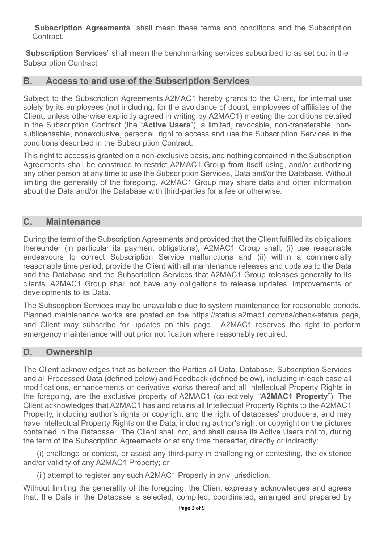"**Subscription Agreements**" shall mean these terms and conditions and the Subscription Contract.

"**Subscription Services**" shall mean the benchmarking services subscribed to as set out in the Subscription Contract

# **B. Access to and use of the Subscription Services**

Subject to the Subscription Agreements,A2MAC1 hereby grants to the Client, for internal use solely by its employees (not including, for the avoidance of doubt, employees of affiliates of the Client, unless otherwise explicitly agreed in writing by A2MAC1) meeting the conditions detailed in the Subscription Contract (the "**Active Users**"), a limited, revocable, non-transferable, nonsublicensable, nonexclusive, personal, right to access and use the Subscription Services in the conditions described in the Subscription Contract.

This right to access is granted on a non-exclusive basis, and nothing contained in the Subscription Agreements shall be construed to restrict A2MAC1 Group from itself using, and/or authorizing any other person at any time to use the Subscription Services, Data and/or the Database. Without limiting the generality of the foregoing, A2MAC1 Group may share data and other information about the Data and/or the Database with third-parties for a fee or otherwise.

# **C. Maintenance**

During the term of the Subscription Agreements and provided that the Client fulfilled its obligations thereunder (in particular its payment obligations), A2MAC1 Group shall, (i) use reasonable endeavours to correct Subscription Service malfunctions and (ii) within a commercially reasonable time period, provide the Client with all maintenance releases and updates to the Data and the Database and the Subscription Services that A2MAC1 Group releases generally to its clients. A2MAC1 Group shall not have any obligations to release updates, improvements or developments to its Data.

The Subscription Services may be unavailable due to system maintenance for reasonable periods. Planned maintenance works are posted on the https://status.a2mac1.com/ns/check-status page, and Client may subscribe for updates on this page. A2MAC1 reserves the right to perform emergency maintenance without prior notification where reasonably required.

# **D. Ownership**

The Client acknowledges that as between the Parties all Data, Database, Subscription Services and all Processed Data (defined below) and Feedback (defined below), including in each case all modifications, enhancements or derivative works thereof and all Intellectual Property Rights in the foregoing, are the exclusive property of A2MAC1 (collectively, "**A2MAC1 Property**"). The Client acknowledges that A2MAC1 has and retains all Intellectual Property Rights to the A2MAC1 Property, including author's rights or copyright and the right of databases' producers, and may have Intellectual Property Rights on the Data, including author's right or copyright on the pictures contained in the Database. The Client shall not, and shall cause its Active Users not to, during the term of the Subscription Agreements or at any time thereafter, directly or indirectly:

(i) challenge or contest, or assist any third-party in challenging or contesting, the existence and/or validity of any A2MAC1 Property; or

(ii) attempt to register any such A2MAC1 Property in any jurisdiction.

Without limiting the generality of the foregoing, the Client expressly acknowledges and agrees that, the Data in the Database is selected, compiled, coordinated, arranged and prepared by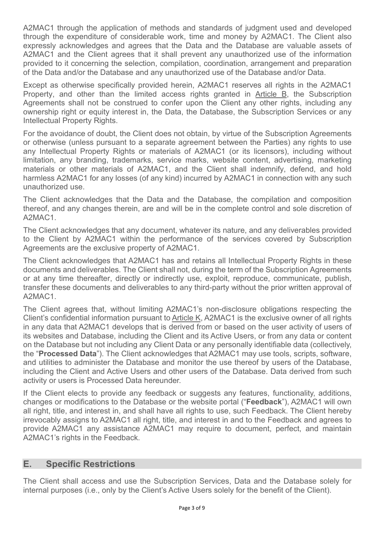A2MAC1 through the application of methods and standards of judgment used and developed through the expenditure of considerable work, time and money by A2MAC1. The Client also expressly acknowledges and agrees that the Data and the Database are valuable assets of A2MAC1 and the Client agrees that it shall prevent any unauthorized use of the information provided to it concerning the selection, compilation, coordination, arrangement and preparation of the Data and/or the Database and any unauthorized use of the Database and/or Data.

Except as otherwise specifically provided herein, A2MAC1 reserves all rights in the A2MAC1 Property, and other than the limited access rights granted in Article B, the Subscription Agreements shall not be construed to confer upon the Client any other rights, including any ownership right or equity interest in, the Data, the Database, the Subscription Services or any Intellectual Property Rights.

For the avoidance of doubt, the Client does not obtain, by virtue of the Subscription Agreements or otherwise (unless pursuant to a separate agreement between the Parties) any rights to use any Intellectual Property Rights or materials of A2MAC1 (or its licensors), including without limitation, any branding, trademarks, service marks, website content, advertising, marketing materials or other materials of A2MAC1, and the Client shall indemnify, defend, and hold harmless A2MAC1 for any losses (of any kind) incurred by A2MAC1 in connection with any such unauthorized use.

The Client acknowledges that the Data and the Database, the compilation and composition thereof, and any changes therein, are and will be in the complete control and sole discretion of A2MAC1.

The Client acknowledges that any document, whatever its nature, and any deliverables provided to the Client by A2MAC1 within the performance of the services covered by Subscription Agreements are the exclusive property of A2MAC1.

The Client acknowledges that A2MAC1 has and retains all Intellectual Property Rights in these documents and deliverables. The Client shall not, during the term of the Subscription Agreements or at any time thereafter, directly or indirectly use, exploit, reproduce, communicate, publish, transfer these documents and deliverables to any third-party without the prior written approval of A2MAC1.

The Client agrees that, without limiting A2MAC1's non-disclosure obligations respecting the Client's confidential information pursuant to Article K, A2MAC1 is the exclusive owner of all rights in any data that A2MAC1 develops that is derived from or based on the user activity of users of its websites and Database, including the Client and its Active Users, or from any data or content on the Database but not including any Client Data or any personally identifiable data (collectively, the "**Processed Data**"). The Client acknowledges that A2MAC1 may use tools, scripts, software, and utilities to administer the Database and monitor the use thereof by users of the Database, including the Client and Active Users and other users of the Database. Data derived from such activity or users is Processed Data hereunder.

If the Client elects to provide any feedback or suggests any features, functionality, additions, changes or modifications to the Database or the website portal ("**Feedback**"), A2MAC1 will own all right, title, and interest in, and shall have all rights to use, such Feedback. The Client hereby irrevocably assigns to A2MAC1 all right, title, and interest in and to the Feedback and agrees to provide A2MAC1 any assistance A2MAC1 may require to document, perfect, and maintain A2MAC1's rights in the Feedback.

# **E. Specific Restrictions**

The Client shall access and use the Subscription Services, Data and the Database solely for internal purposes (i.e., only by the Client's Active Users solely for the benefit of the Client).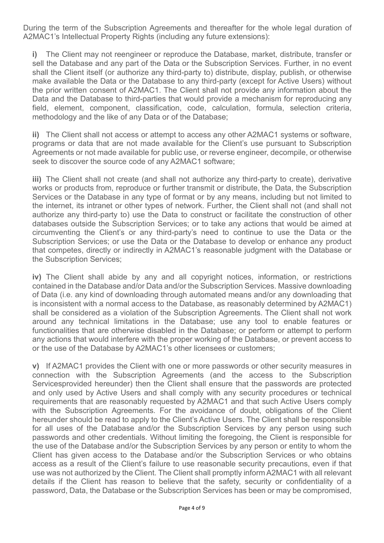During the term of the Subscription Agreements and thereafter for the whole legal duration of A2MAC1's Intellectual Property Rights (including any future extensions):

**i)** The Client may not reengineer or reproduce the Database, market, distribute, transfer or sell the Database and any part of the Data or the Subscription Services. Further, in no event shall the Client itself (or authorize any third-party to) distribute, display, publish, or otherwise make available the Data or the Database to any third-party (except for Active Users) without the prior written consent of A2MAC1. The Client shall not provide any information about the Data and the Database to third-parties that would provide a mechanism for reproducing any field, element, component, classification, code, calculation, formula, selection criteria, methodology and the like of any Data or of the Database;

**ii)** The Client shall not access or attempt to access any other A2MAC1 systems or software, programs or data that are not made available for the Client's use pursuant to Subscription Agreements or not made available for public use, or reverse engineer, decompile, or otherwise seek to discover the source code of any A2MAC1 software;

**iii)** The Client shall not create (and shall not authorize any third-party to create), derivative works or products from, reproduce or further transmit or distribute, the Data, the Subscription Services or the Database in any type of format or by any means, including but not limited to the internet, its intranet or other types of network. Further, the Client shall not (and shall not authorize any third-party to) use the Data to construct or facilitate the construction of other databases outside the Subscription Services; or to take any actions that would be aimed at circumventing the Client's or any third-party's need to continue to use the Data or the Subscription Services; or use the Data or the Database to develop or enhance any product that competes, directly or indirectly in A2MAC1's reasonable judgment with the Database or the Subscription Services;

**iv)** The Client shall abide by any and all copyright notices, information, or restrictions contained in the Database and/or Data and/or the Subscription Services. Massive downloading of Data (i.e. any kind of downloading through automated means and/or any downloading that is inconsistent with a normal access to the Database, as reasonably determined by A2MAC1) shall be considered as a violation of the Subscription Agreements. The Client shall not work around any technical limitations in the Database; use any tool to enable features or functionalities that are otherwise disabled in the Database; or perform or attempt to perform any actions that would interfere with the proper working of the Database, or prevent access to or the use of the Database by A2MAC1's other licensees or customers;

**v)** If A2MAC1 provides the Client with one or more passwords or other security measures in connection with the Subscription Agreements (and the access to the Subscription Servicesprovided hereunder) then the Client shall ensure that the passwords are protected and only used by Active Users and shall comply with any security procedures or technical requirements that are reasonably requested by A2MAC1 and that such Active Users comply with the Subscription Agreements. For the avoidance of doubt, obligations of the Client hereunder should be read to apply to the Client's Active Users. The Client shall be responsible for all uses of the Database and/or the Subscription Services by any person using such passwords and other credentials. Without limiting the foregoing, the Client is responsible for the use of the Database and/or the Subscription Services by any person or entity to whom the Client has given access to the Database and/or the Subscription Services or who obtains access as a result of the Client's failure to use reasonable security precautions, even if that use was not authorized by the Client. The Client shall promptly inform A2MAC1 with all relevant details if the Client has reason to believe that the safety, security or confidentiality of a password, Data, the Database or the Subscription Services has been or may be compromised,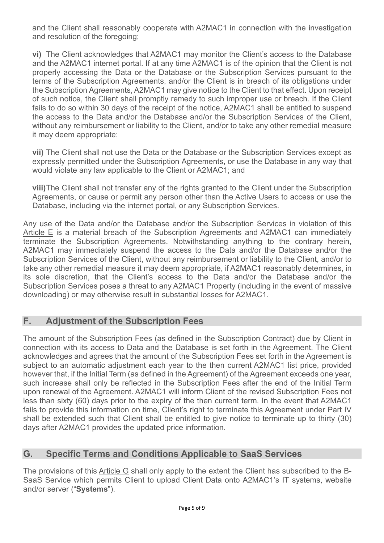and the Client shall reasonably cooperate with A2MAC1 in connection with the investigation and resolution of the foregoing;

**vi)** The Client acknowledges that A2MAC1 may monitor the Client's access to the Database and the A2MAC1 internet portal. If at any time A2MAC1 is of the opinion that the Client is not properly accessing the Data or the Database or the Subscription Services pursuant to the terms of the Subscription Agreements, and/or the Client is in breach of its obligations under the Subscription Agreements, A2MAC1 may give notice to the Client to that effect. Upon receipt of such notice, the Client shall promptly remedy to such improper use or breach. If the Client fails to do so within 30 days of the receipt of the notice, A2MAC1 shall be entitled to suspend the access to the Data and/or the Database and/or the Subscription Services of the Client, without any reimbursement or liability to the Client, and/or to take any other remedial measure it may deem appropriate;

**vii)** The Client shall not use the Data or the Database or the Subscription Services except as expressly permitted under the Subscription Agreements, or use the Database in any way that would violate any law applicable to the Client or A2MAC1; and

**viii)** The Client shall not transfer any of the rights granted to the Client under the Subscription Agreements, or cause or permit any person other than the Active Users to access or use the Database, including via the internet portal, or any Subscription Services.

Any use of the Data and/or the Database and/or the Subscription Services in violation of this Article E is a material breach of the Subscription Agreements and A2MAC1 can immediately terminate the Subscription Agreements. Notwithstanding anything to the contrary herein, A2MAC1 may immediately suspend the access to the Data and/or the Database and/or the Subscription Services of the Client, without any reimbursement or liability to the Client, and/or to take any other remedial measure it may deem appropriate, if A2MAC1 reasonably determines, in its sole discretion, that the Client's access to the Data and/or the Database and/or the Subscription Services poses a threat to any A2MAC1 Property (including in the event of massive downloading) or may otherwise result in substantial losses for A2MAC1.

# **F. Adjustment of the Subscription Fees**

The amount of the Subscription Fees (as defined in the Subscription Contract) due by Client in connection with its access to Data and the Database is set forth in the Agreement. The Client acknowledges and agrees that the amount of the Subscription Fees set forth in the Agreement is subject to an automatic adjustment each year to the then current A2MAC1 list price, provided however that, if the Initial Term (as defined in the Agreement) of the Agreement exceeds one year, such increase shall only be reflected in the Subscription Fees after the end of the Initial Term upon renewal of the Agreement. A2MAC1 will inform Client of the revised Subscription Fees not less than sixty (60) days prior to the expiry of the then current term. In the event that A2MAC1 fails to provide this information on time, Client's right to terminate this Agreement under Part IV shall be extended such that Client shall be entitled to give notice to terminate up to thirty (30) days after A2MAC1 provides the updated price information.

# **G. Specific Terms and Conditions Applicable to SaaS Services**

The provisions of this Article G shall only apply to the extent the Client has subscribed to the B-SaaS Service which permits Client to upload Client Data onto A2MAC1's IT systems, website and/or server ("**Systems**").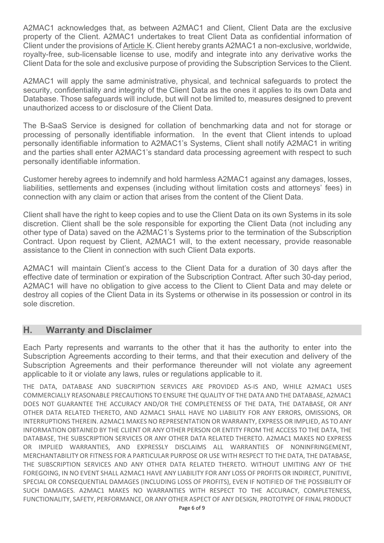A2MAC1 acknowledges that, as between A2MAC1 and Client, Client Data are the exclusive property of the Client. A2MAC1 undertakes to treat Client Data as confidential information of Client under the provisions of Article K. Client hereby grants A2MAC1 a non-exclusive, worldwide, royalty-free, sub-licensable license to use, modify and integrate into any derivative works the Client Data for the sole and exclusive purpose of providing the Subscription Services to the Client.

A2MAC1 will apply the same administrative, physical, and technical safeguards to protect the security, confidentiality and integrity of the Client Data as the ones it applies to its own Data and Database. Those safeguards will include, but will not be limited to, measures designed to prevent unauthorized access to or disclosure of the Client Data.

The B-SaaS Service is designed for collation of benchmarking data and not for storage or processing of personally identifiable information. In the event that Client intends to upload personally identifiable information to A2MAC1's Systems, Client shall notify A2MAC1 in writing and the parties shall enter A2MAC1's standard data processing agreement with respect to such personally identifiable information.

Customer hereby agrees to indemnify and hold harmless A2MAC1 against any damages, losses, liabilities, settlements and expenses (including without limitation costs and attorneys' fees) in connection with any claim or action that arises from the content of the Client Data.

Client shall have the right to keep copies and to use the Client Data on its own Systems in its sole discretion. Client shall be the sole responsible for exporting the Client Data (not including any other type of Data) saved on the A2MAC1's Systems prior to the termination of the Subscription Contract. Upon request by Client, A2MAC1 will, to the extent necessary, provide reasonable assistance to the Client in connection with such Client Data exports.

A2MAC1 will maintain Client's access to the Client Data for a duration of 30 days after the effective date of termination or expiration of the Subscription Contract. After such 30-day period, A2MAC1 will have no obligation to give access to the Client to Client Data and may delete or destroy all copies of the Client Data in its Systems or otherwise in its possession or control in its sole discretion.

### **H. Warranty and Disclaimer**

Each Party represents and warrants to the other that it has the authority to enter into the Subscription Agreements according to their terms, and that their execution and delivery of the Subscription Agreements and their performance thereunder will not violate any agreement applicable to it or violate any laws, rules or regulations applicable to it.

THE DATA, DATABASE AND SUBCRIPTION SERVICES ARE PROVIDED AS-IS AND, WHILE A2MAC1 USES COMMERCIALLY REASONABLE PRECAUTIONS TO ENSURE THE QUALITY OF THE DATA AND THE DATABASE, A2MAC1 DOES NOT GUARANTEE THE ACCURACY AND/OR THE COMPLETENESS OF THE DATA, THE DATABASE, OR ANY OTHER DATA RELATED THERETO, AND A2MAC1 SHALL HAVE NO LIABILITY FOR ANY ERRORS, OMISSIONS, OR INTERRUPTIONS THEREIN. A2MAC1 MAKES NO REPRESENTATION OR WARRANTY, EXPRESS OR IMPLIED, AS TO ANY INFORMATION OBTAINED BY THE CLIENT OR ANY OTHER PERSON OR ENTITY FROM THE ACCESS TO THE DATA, THE DATABASE, THE SUBSCRIPTION SERVICES OR ANY OTHER DATA RELATED THERETO. A2MAC1 MAKES NO EXPRESS OR IMPLIED WARRANTIES, AND EXPRESSLY DISCLAIMS ALL WARRANTIES OF NONINFRINGEMENT, MERCHANTABILITY OR FITNESS FOR A PARTICULAR PURPOSE OR USE WITH RESPECT TO THE DATA, THE DATABASE, THE SUBSCRIPTION SERVICES AND ANY OTHER DATA RELATED THERETO. WITHOUT LIMITING ANY OF THE FOREGOING, IN NO EVENT SHALL A2MAC1 HAVE ANY LIABILITY FOR ANY LOSS OF PROFITS OR INDIRECT, PUNITIVE, SPECIAL OR CONSEQUENTIAL DAMAGES (INCLUDING LOSS OF PROFITS), EVEN IF NOTIFIED OF THE POSSIBILITY OF SUCH DAMAGES. A2MAC1 MAKES NO WARRANTIES WITH RESPECT TO THE ACCURACY, COMPLETENESS, FUNCTIONALITY, SAFETY, PERFORMANCE, OR ANY OTHER ASPECT OF ANY DESIGN, PROTOTYPE OF FINAL PRODUCT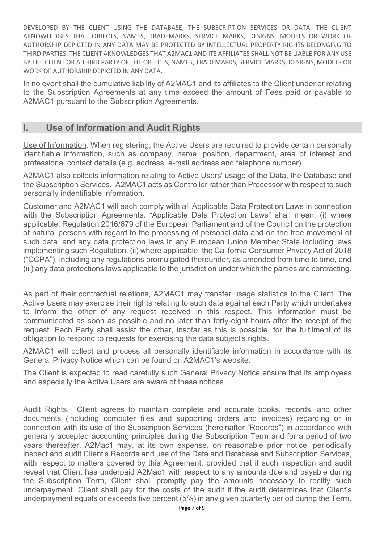DEVELOPED BY THE CLIENT USING THE DATABASE, THE SUBSCRIPTION SERVICES OR DATA. THE CLIENT AKNOWLEDGES THAT OBJECTS, NAMES, TRADEMARKS, SERVICE MARKS, DESIGNS, MODELS OR WORK OF AUTHORSHIP DEPICTED IN ANY DATA MAY BE PROTECTED BY INTELLECTUAL PROPERTY RIGHTS BELONGING TO THIRD PARTIES. THE CLIENT AKNOWLEDGES THAT A2MAC1 AND ITS AFFILIATES SHALL NOT BE LIABLE FOR ANY USE BY THE CLIENT OR A THIRD PARTY OF THE OBJECTS, NAMES, TRADEMARKS, SERVICE MARKS, DESIGNS, MODELS OR WORK OF AUTHORSHIP DEPICTED IN ANY DATA.

In no event shall the cumulative liability of A2MAC1 and its affiliates to the Client under or relating to the Subscription Agreements at any time exceed the amount of Fees paid or payable to A2MAC1 pursuant to the Subscription Agreements.

# **I. Use of Information and Audit Rights**

Use of Information. When registering, the Active Users are required to provide certain personally identifiable information, such as company, name, position, department, area of interest and professional contact details (e.g. address, e-mail address and telephone number).

A2MAC1 also collects information relating to Active Users' usage of the Data, the Database and the Subscription Services. A2MAC1 acts as Controller rather than Processor with respect to such personally indentifiable information.

Customer and A2MAC1 will each comply with all Applicable Data Protection Laws in connection with the Subscription Agreements. "Applicable Data Protection Laws" shall mean: (i) where applicable, Regulation 2016/679 of the European Parliament and of the Council on the protection of natural persons with regard to the processing of personal data and on the free movement of such data, and any data protection laws in any European Union Member State including laws implementing such Regulation, (ii) where applicable, the California Consumer Privacy Act of 2018 ("CCPA"), including any regulations promulgated thereunder, as amended from time to time, and (iii) any data protections laws applicable to the jurisdiction under which the parties are contracting.

As part of their contractual relations, A2MAC1 may transfer usage statistics to the Client. The Active Users may exercise their rights relating to such data against each Party which undertakes to inform the other of any request received in this respect. This information must be communicated as soon as possible and no later than forty-eight hours after the receipt of the request. Each Party shall assist the other, insofar as this is possible, for the fulfilment of its obligation to respond to requests for exercising the data subject's rights.

A2MAC1 will collect and process all personally identifiable information in accordance with its General Privacy Notice which can be found on A2MAC1's website.

The Client is expected to read carefully such General Privacy Notice ensure that its employees and especially the Active Users are aware of these notices.

Audit Rights. Client agrees to maintain complete and accurate books, records, and other documents (including computer files and supporting orders and invoices) regarding or in connection with its use of the Subscription Services (hereinafter "Records") in accordance with generally accepted accounting principles during the Subscription Term and for a period of two years thereafter. A2Mac1 may, at its own expense, on reasonable prior notice, periodically inspect and audit Client's Records and use of the Data and Database and Subscription Services, with respect to matters covered by this Agreement, provided that if such inspection and audit reveal that Client has underpaid A2Mac1 with respect to any amounts due and payable during the Subscription Term, Client shall promptly pay the amounts necessary to rectify such underpayment. Client shall pay for the costs of the audit if the audit determines that Client's underpayment equals or exceeds five percent (5%) in any given quarterly period during the Term.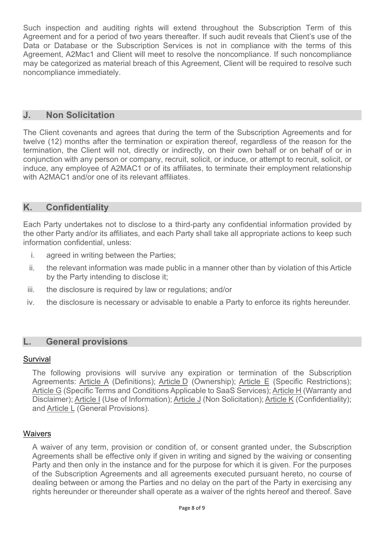Such inspection and auditing rights will extend throughout the Subscription Term of this Agreement and for a period of two years thereafter. If such audit reveals that Client's use of the Data or Database or the Subscription Services is not in compliance with the terms of this Agreement, A2Mac1 and Client will meet to resolve the noncompliance. If such noncompliance may be categorized as material breach of this Agreement, Client will be required to resolve such noncompliance immediately.

### **J. Non Solicitation**

The Client covenants and agrees that during the term of the Subscription Agreements and for twelve (12) months after the termination or expiration thereof, regardless of the reason for the termination, the Client will not, directly or indirectly, on their own behalf or on behalf of or in conjunction with any person or company, recruit, solicit, or induce, or attempt to recruit, solicit, or induce, any employee of A2MAC1 or of its affiliates, to terminate their employment relationship with A2MAC1 and/or one of its relevant affiliates.

# **K. Confidentiality**

Each Party undertakes not to disclose to a third-party any confidential information provided by the other Party and/or its affiliates, and each Party shall take all appropriate actions to keep such information confidential, unless:

- i. agreed in writing between the Parties;
- ii. the relevant information was made public in a manner other than by violation of this Article by the Party intending to disclose it;
- iii. the disclosure is required by law or regulations; and/or
- iv. the disclosure is necessary or advisable to enable a Party to enforce its rights hereunder.

### **L. General provisions**

#### Survival

The following provisions will survive any expiration or termination of the Subscription Agreements: Article A (Definitions); Article D (Ownership); Article E (Specific Restrictions); Article G (Specific Terms and Conditions Applicable to SaaS Services); Article H (Warranty and Disclaimer); Article I (Use of Information); Article J (Non Solicitation); Article K (Confidentiality); and Article L (General Provisions).

#### **Waivers**

A waiver of any term, provision or condition of, or consent granted under, the Subscription Agreements shall be effective only if given in writing and signed by the waiving or consenting Party and then only in the instance and for the purpose for which it is given. For the purposes of the Subscription Agreements and all agreements executed pursuant hereto, no course of dealing between or among the Parties and no delay on the part of the Party in exercising any rights hereunder or thereunder shall operate as a waiver of the rights hereof and thereof. Save